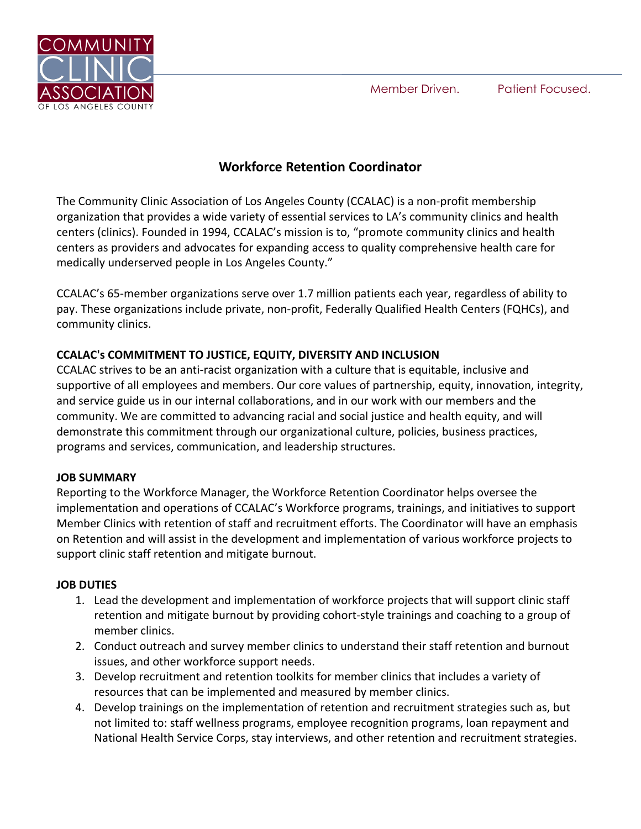Member Driven. Patient Focused.



# **Workforce Retention Coordinator**

The Community Clinic Association of Los Angeles County (CCALAC) is a non-profit membership organization that provides a wide variety of essential services to LA's community clinics and health centers (clinics). Founded in 1994, CCALAC's mission is to, "promote community clinics and health centers as providers and advocates for expanding access to quality comprehensive health care for medically underserved people in Los Angeles County."

CCALAC's 65-member organizations serve over 1.7 million patients each year, regardless of ability to pay. These organizations include private, non-profit, Federally Qualified Health Centers (FQHCs), and community clinics.

## **CCALAC's COMMITMENT TO JUSTICE, EQUITY, DIVERSITY AND INCLUSION**

CCALAC strives to be an anti-racist organization with a culture that is equitable, inclusive and supportive of all employees and members. Our core values of partnership, equity, innovation, integrity, and service guide us in our internal collaborations, and in our work with our members and the community. We are committed to advancing racial and social justice and health equity, and will demonstrate this commitment through our organizational culture, policies, business practices, programs and services, communication, and leadership structures.

#### **JOB SUMMARY**

Reporting to the Workforce Manager, the Workforce Retention Coordinator helps oversee the implementation and operations of CCALAC's Workforce programs, trainings, and initiatives to support Member Clinics with retention of staff and recruitment efforts. The Coordinator will have an emphasis on Retention and will assist in the development and implementation of various workforce projects to support clinic staff retention and mitigate burnout.

#### **JOB DUTIES**

- 1. Lead the development and implementation of workforce projects that will support clinic staff retention and mitigate burnout by providing cohort-style trainings and coaching to a group of member clinics.
- 2. Conduct outreach and survey member clinics to understand their staff retention and burnout issues, and other workforce support needs.
- 3. Develop recruitment and retention toolkits for member clinics that includes a variety of resources that can be implemented and measured by member clinics.
- 4. Develop trainings on the implementation of retention and recruitment strategies such as, but not limited to: staff wellness programs, employee recognition programs, loan repayment and National Health Service Corps, stay interviews, and other retention and recruitment strategies.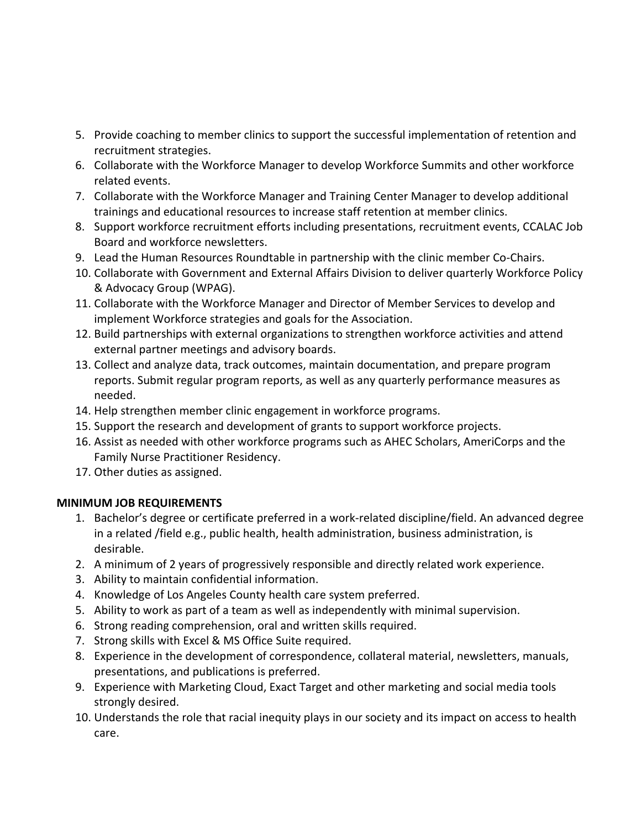- 5. Provide coaching to member clinics to support the successful implementation of retention and recruitment strategies.
- 6. Collaborate with the Workforce Manager to develop Workforce Summits and other workforce related events.
- 7. Collaborate with the Workforce Manager and Training Center Manager to develop additional trainings and educational resources to increase staff retention at member clinics.
- 8. Support workforce recruitment efforts including presentations, recruitment events, CCALAC Job Board and workforce newsletters.
- 9. Lead the Human Resources Roundtable in partnership with the clinic member Co-Chairs.
- 10. Collaborate with Government and External Affairs Division to deliver quarterly Workforce Policy & Advocacy Group (WPAG).
- 11. Collaborate with the Workforce Manager and Director of Member Services to develop and implement Workforce strategies and goals for the Association.
- 12. Build partnerships with external organizations to strengthen workforce activities and attend external partner meetings and advisory boards.
- 13. Collect and analyze data, track outcomes, maintain documentation, and prepare program reports. Submit regular program reports, as well as any quarterly performance measures as needed.
- 14. Help strengthen member clinic engagement in workforce programs.
- 15. Support the research and development of grants to support workforce projects.
- 16. Assist as needed with other workforce programs such as AHEC Scholars, AmeriCorps and the Family Nurse Practitioner Residency.
- 17. Other duties as assigned.

## **MINIMUM JOB REQUIREMENTS**

- 1. Bachelor's degree or certificate preferred in a work-related discipline/field. An advanced degree in a related /field e.g., public health, health administration, business administration, is desirable.
- 2. A minimum of 2 years of progressively responsible and directly related work experience.
- 3. Ability to maintain confidential information.
- 4. Knowledge of Los Angeles County health care system preferred.
- 5. Ability to work as part of a team as well as independently with minimal supervision.
- 6. Strong reading comprehension, oral and written skills required.
- 7. Strong skills with Excel & MS Office Suite required.
- 8. Experience in the development of correspondence, collateral material, newsletters, manuals, presentations, and publications is preferred.
- 9. Experience with Marketing Cloud, Exact Target and other marketing and social media tools strongly desired.
- 10. Understands the role that racial inequity plays in our society and its impact on access to health care.